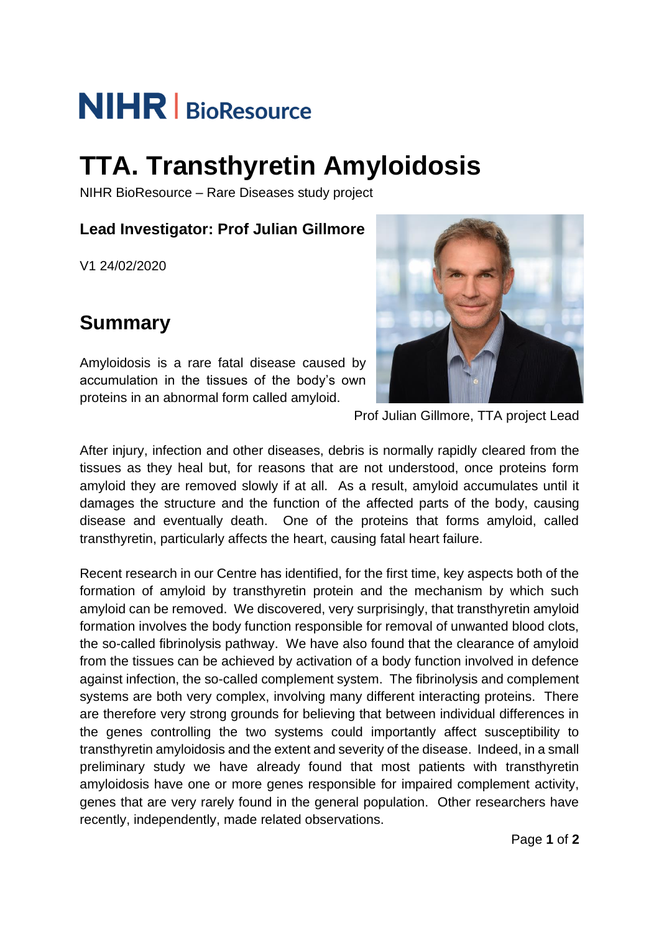# **NIHR** BioResource

# **TTA. Transthyretin Amyloidosis**

NIHR BioResource – Rare Diseases study project

#### **Lead Investigator: Prof Julian Gillmore**

V1 24/02/2020

## **Summary**

Amyloidosis is a rare fatal disease caused by accumulation in the tissues of the body's own proteins in an abnormal form called amyloid.



Prof Julian Gillmore, TTA project Lead

After injury, infection and other diseases, debris is normally rapidly cleared from the tissues as they heal but, for reasons that are not understood, once proteins form amyloid they are removed slowly if at all. As a result, amyloid accumulates until it damages the structure and the function of the affected parts of the body, causing disease and eventually death. One of the proteins that forms amyloid, called transthyretin, particularly affects the heart, causing fatal heart failure.

Recent research in our Centre has identified, for the first time, key aspects both of the formation of amyloid by transthyretin protein and the mechanism by which such amyloid can be removed. We discovered, very surprisingly, that transthyretin amyloid formation involves the body function responsible for removal of unwanted blood clots, the so-called fibrinolysis pathway. We have also found that the clearance of amyloid from the tissues can be achieved by activation of a body function involved in defence against infection, the so-called complement system. The fibrinolysis and complement systems are both very complex, involving many different interacting proteins. There are therefore very strong grounds for believing that between individual differences in the genes controlling the two systems could importantly affect susceptibility to transthyretin amyloidosis and the extent and severity of the disease. Indeed, in a small preliminary study we have already found that most patients with transthyretin amyloidosis have one or more genes responsible for impaired complement activity, genes that are very rarely found in the general population. Other researchers have recently, independently, made related observations.